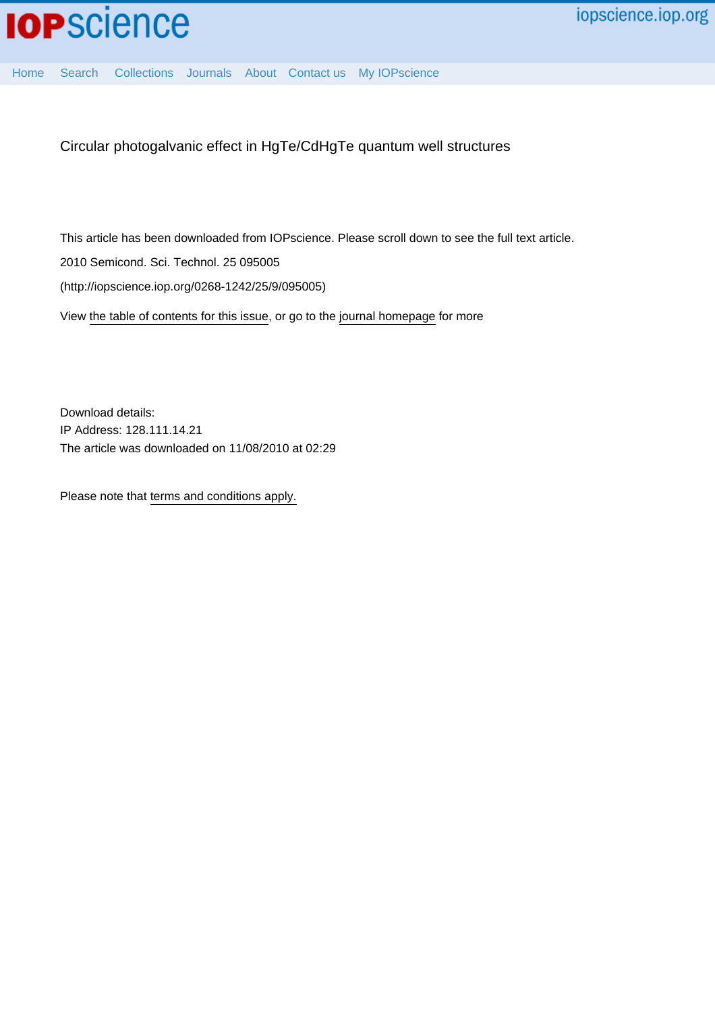

[Home](http://iopscience.iop.org/) [Search](http://iopscience.iop.org/search) [Collections](http://iopscience.iop.org/collections) [Journals](http://iopscience.iop.org/journals) [About](http://iopscience.iop.org/page/aboutioppublishing) [Contact us](http://iopscience.iop.org/contact) [My IOPscience](http://iopscience.iop.org/myiopscience)

Circular photogalvanic effect in HgTe/CdHgTe quantum well structures

This article has been downloaded from IOPscience. Please scroll down to see the full text article. 2010 Semicond. Sci. Technol. 25 095005 (http://iopscience.iop.org/0268-1242/25/9/095005) View [the table of contents for this issue](http://iopscience.iop.org/0268-1242/25/9), or go to the [journal homepage](http://iopscience.iop.org/0268-1242) for more

Download details: IP Address: 128.111.14.21 The article was downloaded on 11/08/2010 at 02:29

Please note that [terms and conditions apply.](http://iopscience.iop.org/page/terms)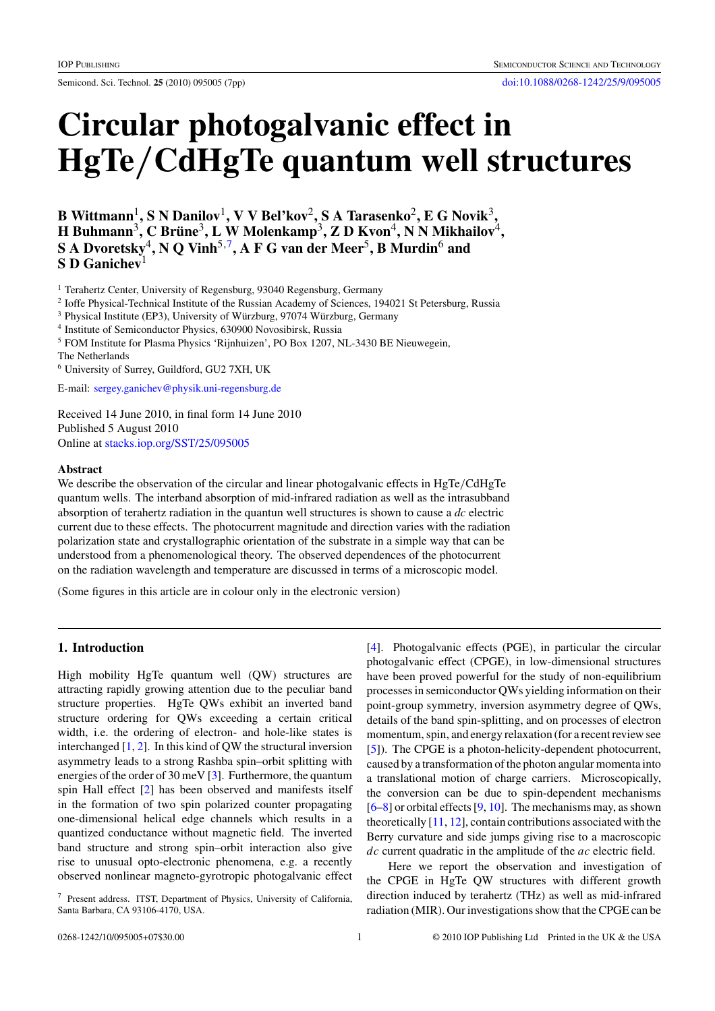# **Circular photogalvanic effect in HgTe***/***CdHgTe quantum well structures**

**B Wittmann**1**, S N Danilov**1**, V V Bel'kov**2**, S A Tarasenko**2**, E G Novik**3**, H** Buhmann<sup>3</sup>, C Brüne<sup>3</sup>, L W Molenkamp<sup>3</sup>, Z D Kvon<sup>4</sup>, N N Mikhailov<sup>4</sup>, **S A Dvoretsky**4**, N Q Vinh**5,7**, A F G van der Meer**5**, B Murdin**<sup>6</sup> **and S D Ganichev**<sup>1</sup>

<sup>1</sup> Terahertz Center, University of Regensburg, 93040 Regensburg, Germany

<sup>2</sup> Ioffe Physical-Technical Institute of the Russian Academy of Sciences, 194021 St Petersburg, Russia

<sup>3</sup> Physical Institute (EP3), University of Würzburg, 97074 Würzburg, Germany

<sup>4</sup> Institute of Semiconductor Physics, 630900 Novosibirsk, Russia

<sup>5</sup> FOM Institute for Plasma Physics 'Rijnhuizen', PO Box 1207, NL-3430 BE Nieuwegein,

The Netherlands

<sup>6</sup> University of Surrey, Guildford, GU2 7XH, UK

E-mail: [sergey.ganichev@physik.uni-regensburg.de](mailto:sergey.ganichev@physik.uni-regensburg.de)

Received 14 June 2010, in final form 14 June 2010 Published 5 August 2010 Online at [stacks.iop.org/SST/25/095005](http://stacks.iop.org/SST/25/095005)

## **Abstract**

We describe the observation of the circular and linear photogalvanic effects in HgTe*/*CdHgTe quantum wells. The interband absorption of mid-infrared radiation as well as the intrasubband absorption of terahertz radiation in the quantun well structures is shown to cause a *dc* electric current due to these effects. The photocurrent magnitude and direction varies with the radiation polarization state and crystallographic orientation of the substrate in a simple way that can be understood from a phenomenological theory. The observed dependences of the photocurrent on the radiation wavelength and temperature are discussed in terms of a microscopic model.

(Some figures in this article are in colour only in the electronic version)

## **1. Introduction**

High mobility HgTe quantum well (QW) structures are attracting rapidly growing attention due to the peculiar band structure properties. HgTe QWs exhibit an inverted band structure ordering for QWs exceeding a certain critical width, i.e. the ordering of electron- and hole-like states is interchanged [\[1,](#page-6-0) [2](#page-6-0)]. In this kind of QW the structural inversion asymmetry leads to a strong Rashba spin–orbit splitting with energies of the order of 30 meV [\[3\]](#page-6-0). Furthermore, the quantum spin Hall effect [\[2\]](#page-6-0) has been observed and manifests itself in the formation of two spin polarized counter propagating one-dimensional helical edge channels which results in a quantized conductance without magnetic field. The inverted band structure and strong spin–orbit interaction also give rise to unusual opto-electronic phenomena, e.g. a recently observed nonlinear magneto-gyrotropic photogalvanic effect

[\[4](#page-6-0)]. Photogalvanic effects (PGE), in particular the circular photogalvanic effect (CPGE), in low-dimensional structures have been proved powerful for the study of non-equilibrium processes in semiconductor QWs yielding information on their point-group symmetry, inversion asymmetry degree of QWs, details of the band spin-splitting, and on processes of electron momentum, spin, and energy relaxation (for a recent review see [\[5](#page-6-0)]). The CPGE is a photon-helicity-dependent photocurrent, caused by a transformation of the photon angular momenta into a translational motion of charge carriers. Microscopically, the conversion can be due to spin-dependent mechanisms  $[6–8]$  $[6–8]$  or orbital effects  $[9, 10]$  $[9, 10]$  $[9, 10]$ . The mechanisms may, as shown theoretically [\[11,](#page-7-0) [12\]](#page-7-0), contain contributions associated with the Berry curvature and side jumps giving rise to a macroscopic *dc* current quadratic in the amplitude of the *ac* electric field.

Here we report the observation and investigation of the CPGE in HgTe QW structures with different growth direction induced by terahertz (THz) as well as mid-infrared radiation (MIR). Our investigations show that the CPGE can be

<sup>7</sup> Present address. ITST, Department of Physics, University of California, Santa Barbara, CA 93106-4170, USA.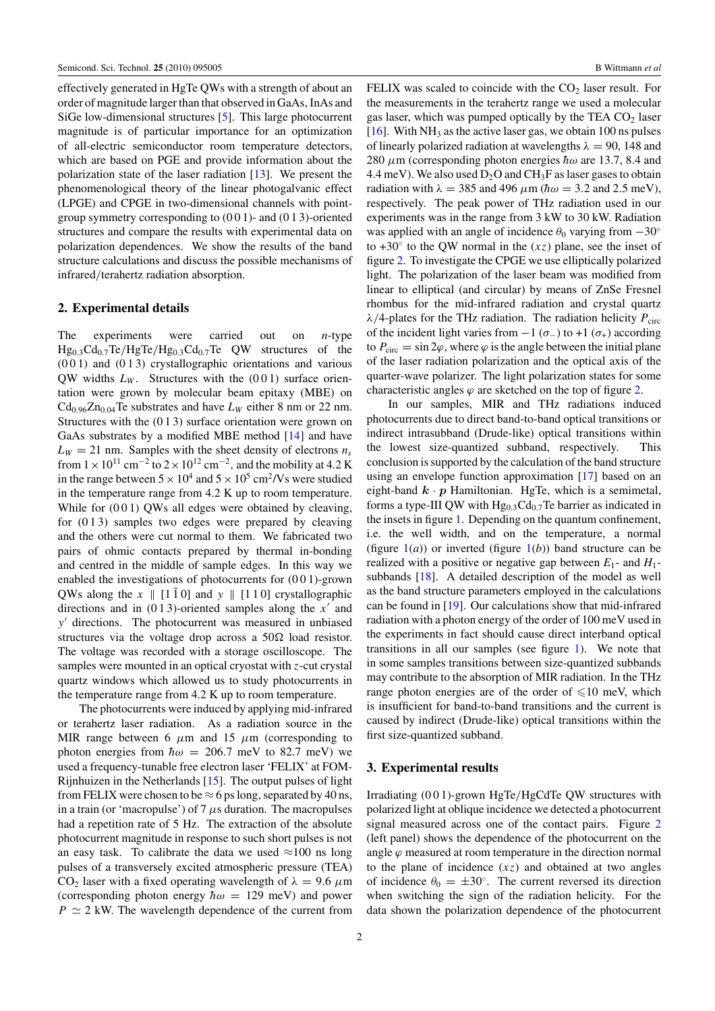effectively generated in HgTe QWs with a strength of about an order of magnitude larger than that observed in GaAs, InAs and SiGe low-dimensional structures [\[5\]](#page-6-0). This large photocurrent magnitude is of particular importance for an optimization of all-electric semiconductor room temperature detectors, which are based on PGE and provide information about the polarization state of the laser radiation [\[13](#page-7-0)]. We present the phenomenological theory of the linear photogalvanic effect (LPGE) and CPGE in two-dimensional channels with pointgroup symmetry corresponding to  $(0\ 0\ 1)$ - and  $(0\ 1\ 3)$ -oriented structures and compare the results with experimental data on polarization dependences. We show the results of the band structure calculations and discuss the possible mechanisms of infrared*/*terahertz radiation absorption.

### **2. Experimental details**

The experiments were carried out on *n*-type Hg0*.*3Cd0*.*7Te*/*HgTe*/*Hg0*.*3Cd0*.*7Te QW structures of the (0 0 1) and (0 1 3) crystallographic orientations and various QW widths  $L_W$ . Structures with the (001) surface orientation were grown by molecular beam epitaxy (MBE) on  $Cd_{0.96}Zn_{0.04}$ Te substrates and have  $L_W$  either 8 nm or 22 nm. Structures with the (0 1 3) surface orientation were grown on GaAs substrates by a modified MBE method [\[14\]](#page-7-0) and have  $L_W = 21$  nm. Samples with the sheet density of electrons  $n_s$ from  $1 \times 10^{11}$  cm<sup>-2</sup> to  $2 \times 10^{12}$  cm<sup>-2</sup>, and the mobility at 4.2 K in the range between  $5 \times 10^4$  and  $5 \times 10^5$  cm<sup>2</sup>/Vs were studied in the temperature range from 4.2 K up to room temperature. While for (001) QWs all edges were obtained by cleaving, for  $(013)$  samples two edges were prepared by cleaving and the others were cut normal to them. We fabricated two pairs of ohmic contacts prepared by thermal in-bonding and centred in the middle of sample edges. In this way we enabled the investigations of photocurrents for  $(0\,0\,1)$ -grown QWs along the  $x \parallel [1 \overline{1} \overline{0}]$  and  $y \parallel [1 \overline{1} \overline{0}]$  crystallographic directions and in  $(013)$ -oriented samples along the  $x'$  and *y* directions. The photocurrent was measured in unbiased structures via the voltage drop across a  $50\Omega$  load resistor. The voltage was recorded with a storage oscilloscope. The samples were mounted in an optical cryostat with *z*-cut crystal quartz windows which allowed us to study photocurrents in the temperature range from 4.2 K up to room temperature.

The photocurrents were induced by applying mid-infrared or terahertz laser radiation. As a radiation source in the MIR range between 6  $\mu$ m and 15  $\mu$ m (corresponding to photon energies from  $\hbar \omega = 206.7$  meV to 82.7 meV) we used a frequency-tunable free electron laser 'FELIX' at FOM-Rijnhuizen in the Netherlands [\[15](#page-7-0)]. The output pulses of light from FELIX were chosen to be  $\approx$  6 ps long, separated by 40 ns, in a train (or 'macropulse') of 7  $\mu$ s duration. The macropulses had a repetition rate of 5 Hz. The extraction of the absolute photocurrent magnitude in response to such short pulses is not an easy task. To calibrate the data we used  $\approx$ 100 ns long pulses of a transversely excited atmospheric pressure (TEA)  $CO<sub>2</sub>$  laser with a fixed operating wavelength of  $\lambda = 9.6 \ \mu m$ (corresponding photon energy  $\hbar \omega = 129$  meV) and power  $P \simeq 2$  kW. The wavelength dependence of the current from FELIX was scaled to coincide with the  $CO<sub>2</sub>$  laser result. For the measurements in the terahertz range we used a molecular gas laser, which was pumped optically by the TEA  $CO<sub>2</sub>$  laser [\[16](#page-7-0)]. With NH<sub>3</sub> as the active laser gas, we obtain 100 ns pulses of linearly polarized radiation at wavelengths  $\lambda = 90$ , 148 and 280  $\mu$ m (corresponding photon energies  $\hbar\omega$  are 13.7, 8.4 and 4.4 meV). We also used  $D_2O$  and  $CH_3F$  as laser gases to obtain radiation with  $\lambda = 385$  and 496  $\mu$ m ( $\hbar \omega = 3.2$  and 2.5 meV), respectively. The peak power of THz radiation used in our experiments was in the range from 3 kW to 30 kW. Radiation was applied with an angle of incidence  $\theta_0$  varying from  $-30^\circ$ to  $+30^\circ$  to the QW normal in the  $(xz)$  plane, see the inset of figure [2.](#page-3-0) To investigate the CPGE we use elliptically polarized light. The polarization of the laser beam was modified from linear to elliptical (and circular) by means of ZnSe Fresnel rhombus for the mid-infrared radiation and crystal quartz *λ/*4-plates for the THz radiation. The radiation helicity *P*<sub>circ</sub> of the incident light varies from  $-1$  ( $\sigma$ <sub>−</sub>) to +1 ( $\sigma$ <sub>+</sub>) according to  $P_{\text{circ}} = \sin 2\varphi$ , where  $\varphi$  is the angle between the initial plane of the laser radiation polarization and the optical axis of the quarter-wave polarizer. The light polarization states for some characteristic angles  $\varphi$  are sketched on the top of figure [2.](#page-3-0)

In our samples, MIR and THz radiations induced photocurrents due to direct band-to-band optical transitions or indirect intrasubband (Drude-like) optical transitions within the lowest size-quantized subband, respectively. This conclusion is supported by the calculation of the band structure using an envelope function approximation [\[17](#page-7-0)] based on an eight-band  $\mathbf{k} \cdot \mathbf{p}$  Hamiltonian. HgTe, which is a semimetal, forms a type-III QW with  $Hg_0$ <sub>3</sub> $Cd_0$ <sub>7</sub>Te barrier as indicated in the insets in figure [1.](#page-3-0) Depending on the quantum confinement, i.e. the well width, and on the temperature, a normal (figure  $1(a)$  $1(a)$ ) or inverted (figure  $1(b)$ ) band structure can be realized with a positive or negative gap between  $E_1$ - and  $H_1$ subbands [\[18](#page-7-0)]. A detailed description of the model as well as the band structure parameters employed in the calculations can be found in [\[19](#page-7-0)]. Our calculations show that mid-infrared radiation with a photon energy of the order of 100 meV used in the experiments in fact should cause direct interband optical transitions in all our samples (see figure [1\)](#page-3-0). We note that in some samples transitions between size-quantized subbands may contribute to the absorption of MIR radiation. In the THz range photon energies are of the order of  $\leq 10$  meV, which is insufficient for band-to-band transitions and the current is caused by indirect (Drude-like) optical transitions within the first size-quantized subband.

## **3. Experimental results**

Irradiating (0 0 1)-grown HgTe*/*HgCdTe QW structures with polarized light at oblique incidence we detected a photocurrent signal measured across one of the contact pairs. Figure [2](#page-3-0) (left panel) shows the dependence of the photocurrent on the angle  $\varphi$  measured at room temperature in the direction normal to the plane of incidence (*xz*) and obtained at two angles of incidence  $\theta_0 = \pm 30^\circ$ . The current reversed its direction when switching the sign of the radiation helicity. For the data shown the polarization dependence of the photocurrent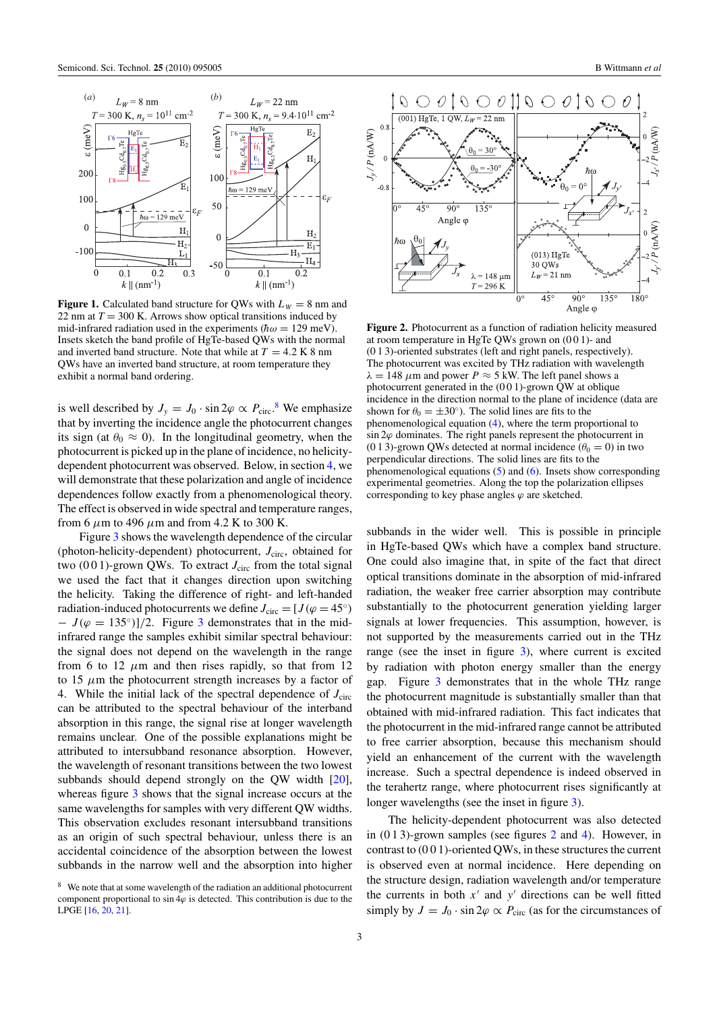<span id="page-3-0"></span>

**Figure 1.** Calculated band structure for QWs with  $L_W = 8$  nm and 22 nm at  $T = 300$  K. Arrows show optical transitions induced by mid-infrared radiation used in the experiments ( $\hbar \omega = 129 \text{ meV}$ ). Insets sketch the band profile of HgTe-based QWs with the normal and inverted band structure. Note that while at  $T = 4.2$  K 8 nm QWs have an inverted band structure, at room temperature they exhibit a normal band ordering.

is well described by  $J_y = J_0 \cdot \sin 2\varphi \propto P_{\text{circ}}$ .<sup>8</sup> We emphasize that by inverting the incidence angle the photocurrent changes its sign (at  $\theta_0 \approx 0$ ). In the longitudinal geometry, when the photocurrent is picked up in the plane of incidence, no helicitydependent photocurrent was observed. Below, in section [4,](#page-5-0) we will demonstrate that these polarization and angle of incidence dependences follow exactly from a phenomenological theory. The effect is observed in wide spectral and temperature ranges, from 6 *μ*m to 496 *μ*m and from 4.2 K to 300 K.

Figure [3](#page-4-0) shows the wavelength dependence of the circular (photon-helicity-dependent) photocurrent, *J*circ, obtained for two (001)-grown QWs. To extract  $J_{\text{circ}}$  from the total signal we used the fact that it changes direction upon switching the helicity. Taking the difference of right- and left-handed radiation-induced photocurrents we define  $J_{\text{circ}} = [J(\varphi = 45^{\circ})]$  $-J(\varphi = 135^{\circ})/2$  $-J(\varphi = 135^{\circ})/2$  $-J(\varphi = 135^{\circ})/2$ . Figure 3 demonstrates that in the midinfrared range the samples exhibit similar spectral behaviour: the signal does not depend on the wavelength in the range from 6 to 12  $\mu$ m and then rises rapidly, so that from 12 to 15  $\mu$ m the photocurrent strength increases by a factor of 4. While the initial lack of the spectral dependence of  $J_{\rm circ}$ can be attributed to the spectral behaviour of the interband absorption in this range, the signal rise at longer wavelength remains unclear. One of the possible explanations might be attributed to intersubband resonance absorption. However, the wavelength of resonant transitions between the two lowest subbands should depend strongly on the QW width [\[20](#page-7-0)], whereas figure [3](#page-4-0) shows that the signal increase occurs at the same wavelengths for samples with very different QW widths. This observation excludes resonant intersubband transitions as an origin of such spectral behaviour, unless there is an accidental coincidence of the absorption between the lowest subbands in the narrow well and the absorption into higher



**Figure 2.** Photocurrent as a function of radiation helicity measured at room temperature in HgTe QWs grown on (0 0 1)- and (0 1 3)-oriented substrates (left and right panels, respectively). The photocurrent was excited by THz radiation with wavelength  $\lambda = 148 \ \mu \text{m}$  and power  $P \approx 5 \text{ kW}$ . The left panel shows a photocurrent generated in the  $(0\,0\,1)$ -grown QW at oblique incidence in the direction normal to the plane of incidence (data are shown for  $\theta_0 = \pm 30^\circ$ ). The solid lines are fits to the phenomenological equation [\(4\)](#page-5-0), where the term proportional to sin 2*ϕ* dominates. The right panels represent the photocurrent in (0 1 3)-grown QWs detected at normal incidence ( $\theta_0 = 0$ ) in two perpendicular directions. The solid lines are fits to the phenomenological equations [\(5\)](#page-6-0) and [\(6\)](#page-6-0). Insets show corresponding experimental geometries. Along the top the polarization ellipses corresponding to key phase angles  $\varphi$  are sketched.

subbands in the wider well. This is possible in principle in HgTe-based QWs which have a complex band structure. One could also imagine that, in spite of the fact that direct optical transitions dominate in the absorption of mid-infrared radiation, the weaker free carrier absorption may contribute substantially to the photocurrent generation yielding larger signals at lower frequencies. This assumption, however, is not supported by the measurements carried out in the THz range (see the inset in figure [3\)](#page-4-0), where current is excited by radiation with photon energy smaller than the energy gap. Figure [3](#page-4-0) demonstrates that in the whole THz range the photocurrent magnitude is substantially smaller than that obtained with mid-infrared radiation. This fact indicates that the photocurrent in the mid-infrared range cannot be attributed to free carrier absorption, because this mechanism should yield an enhancement of the current with the wavelength increase. Such a spectral dependence is indeed observed in the terahertz range, where photocurrent rises significantly at longer wavelengths (see the inset in figure [3\)](#page-4-0).

The helicity-dependent photocurrent was also detected in (0 1 3)-grown samples (see figures 2 and [4\)](#page-4-0). However, in contrast to (0 0 1)-oriented QWs, in these structures the current is observed even at normal incidence. Here depending on the structure design, radiation wavelength and/or temperature the currents in both  $x'$  and  $y'$  directions can be well fitted simply by  $J = J_0 \cdot \sin 2\varphi \propto P_{\text{circ}}$  (as for the circumstances of

<sup>8</sup> We note that at some wavelength of the radiation an additional photocurrent component proportional to  $\sin 4\varphi$  is detected. This contribution is due to the LPGE [\[16,](#page-7-0) [20,](#page-7-0) [21\]](#page-7-0).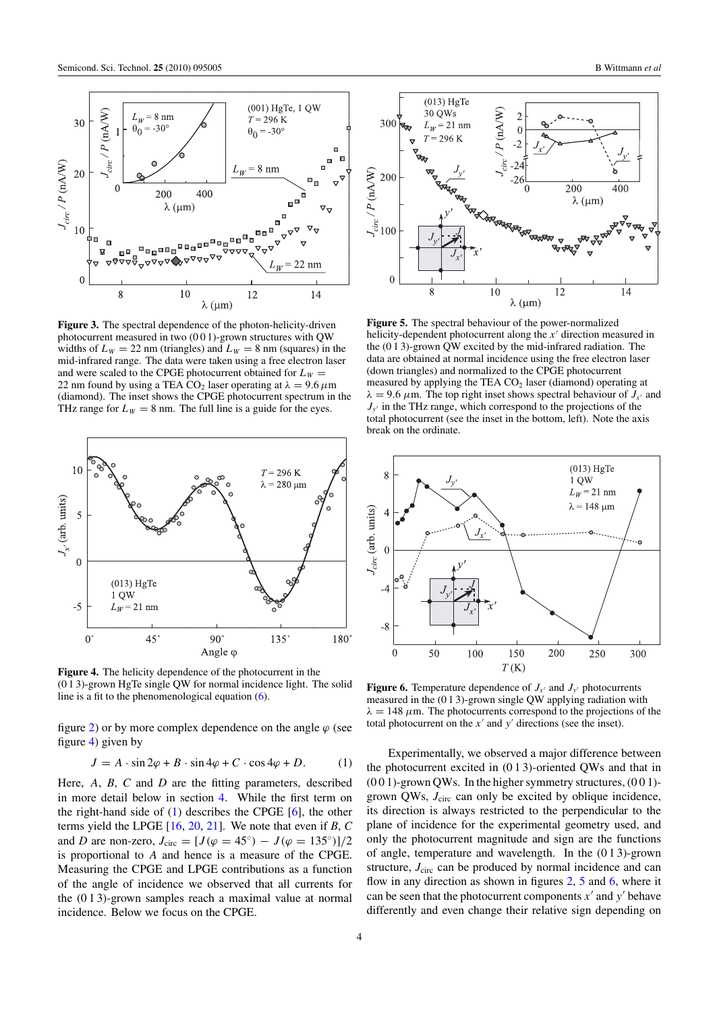<span id="page-4-0"></span>

**Figure 3.** The spectral dependence of the photon-helicity-driven photocurrent measured in two  $(001)$ -grown structures with OW widths of  $L_W = 22$  nm (triangles) and  $L_W = 8$  nm (squares) in the mid-infrared range. The data were taken using a free electron laser and were scaled to the CPGE photocurrent obtained for  $L_W =$ 22 nm found by using a TEA CO<sub>2</sub> laser operating at  $\lambda = 9.6 \,\mu$ m (diamond). The inset shows the CPGE photocurrent spectrum in the THz range for  $L_W = 8$  nm. The full line is a guide for the eyes.



**Figure 4.** The helicity dependence of the photocurrent in the (0 1 3)-grown HgTe single QW for normal incidence light. The solid line is a fit to the phenomenological equation [\(6\)](#page-6-0).

figure [2\)](#page-3-0) or by more complex dependence on the angle  $\varphi$  (see figure 4) given by

$$
J = A \cdot \sin 2\varphi + B \cdot \sin 4\varphi + C \cdot \cos 4\varphi + D. \tag{1}
$$

Here, *A*, *B*, *C* and *D* are the fitting parameters, described in more detail below in section [4.](#page-5-0) While the first term on the right-hand side of (1) describes the CPGE [\[6\]](#page-6-0), the other terms yield the LPGE [\[16](#page-7-0), [20,](#page-7-0) [21\]](#page-7-0). We note that even if *B*, *C* and *D* are non-zero,  $J_{\text{circ}} = [J(\varphi = 45^{\circ}) - J(\varphi = 135^{\circ})]/2$ is proportional to *A* and hence is a measure of the CPGE. Measuring the CPGE and LPGE contributions as a function of the angle of incidence we observed that all currents for the (0 1 3)-grown samples reach a maximal value at normal incidence. Below we focus on the CPGE.



**Figure 5.** The spectral behaviour of the power-normalized helicity-dependent photocurrent along the  $x'$  direction measured in the  $(0 1 3)$ -grown QW excited by the mid-infrared radiation. The data are obtained at normal incidence using the free electron laser (down triangles) and normalized to the CPGE photocurrent measured by applying the TEA  $CO<sub>2</sub>$  laser (diamond) operating at  $\lambda = 9.6 \ \mu \text{m}$ . The top right inset shows spectral behaviour of  $J_{x'}$  and  $J_{y'}$  in the THz range, which correspond to the projections of the total photocurrent (see the inset in the bottom, left). Note the axis break on the ordinate.



**Figure 6.** Temperature dependence of  $J_{x'}$  and  $J_{y'}$  photocurrents measured in the (0 1 3)-grown single QW applying radiation with  $\lambda = 148 \ \mu \text{m}$ . The photocurrents correspond to the projections of the total photocurrent on the  $x'$  and  $y'$  directions (see the inset).

Experimentally, we observed a major difference between the photocurrent excited in (0 1 3)-oriented QWs and that in (0 0 1)-grown QWs. In the higher symmetry structures, (0 0 1) grown QWs, *J*circ can only be excited by oblique incidence, its direction is always restricted to the perpendicular to the plane of incidence for the experimental geometry used, and only the photocurrent magnitude and sign are the functions of angle, temperature and wavelength. In the (0 1 3)-grown structure,  $J_{\text{circ}}$  can be produced by normal incidence and can flow in any direction as shown in figures [2,](#page-3-0) 5 and 6, where it can be seen that the photocurrent components  $x'$  and  $y'$  behave differently and even change their relative sign depending on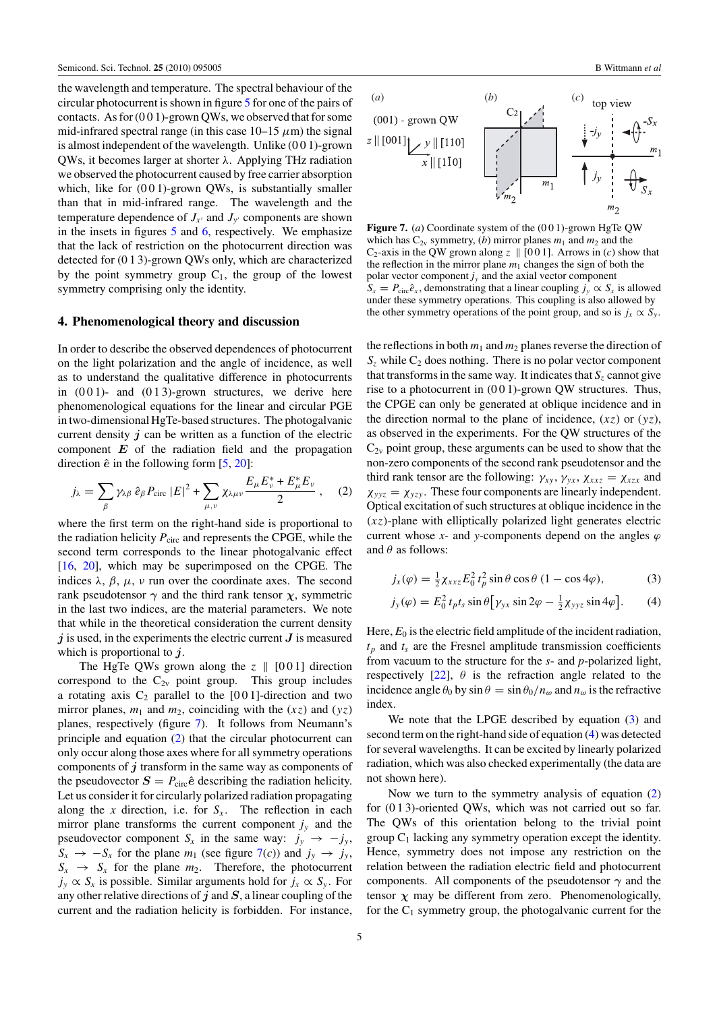<span id="page-5-0"></span>the wavelength and temperature. The spectral behaviour of the circular photocurrent is shown in figure [5](#page-4-0) for one of the pairs of contacts. As for  $(001)$ -grown QWs, we observed that for some mid-infrared spectral range (in this case  $10-15 \mu m$ ) the signal is almost independent of the wavelength. Unlike (001)-grown QWs, it becomes larger at shorter *λ*. Applying THz radiation we observed the photocurrent caused by free carrier absorption which, like for  $(001)$ -grown QWs, is substantially smaller than that in mid-infrared range. The wavelength and the temperature dependence of  $J_{x'}$  and  $J_{y'}$  components are shown in the insets in figures [5](#page-4-0) and [6,](#page-4-0) respectively. We emphasize that the lack of restriction on the photocurrent direction was detected for (0 1 3)-grown QWs only, which are characterized by the point symmetry group  $C_1$ , the group of the lowest symmetry comprising only the identity.

### **4. Phenomenological theory and discussion**

In order to describe the observed dependences of photocurrent on the light polarization and the angle of incidence, as well as to understand the qualitative difference in photocurrents in  $(0 0 1)$ - and  $(0 1 3)$ -grown structures, we derive here phenomenological equations for the linear and circular PGE in two-dimensional HgTe-based structures. The photogalvanic current density *j* can be written as a function of the electric component *E* of the radiation field and the propagation direction  $\hat{e}$  in the following form  $[5, 20]$  $[5, 20]$  $[5, 20]$  $[5, 20]$ :

$$
j_{\lambda} = \sum_{\beta} \gamma_{\lambda\beta} \,\hat{e}_{\beta} P_{\text{circ}} \, |E|^2 + \sum_{\mu,\nu} \chi_{\lambda\mu\nu} \frac{E_{\mu} E_{\nu}^* + E_{\mu}^* E_{\nu}}{2} \,, \quad (2)
$$

where the first term on the right-hand side is proportional to the radiation helicity  $P_{\text{circ}}$  and represents the CPGE, while the second term corresponds to the linear photogalvanic effect [\[16](#page-7-0), [20\]](#page-7-0), which may be superimposed on the CPGE. The indices  $\lambda$ ,  $\beta$ ,  $\mu$ ,  $\nu$  run over the coordinate axes. The second rank pseudotensor  $\gamma$  and the third rank tensor  $\chi$ , symmetric in the last two indices, are the material parameters. We note that while in the theoretical consideration the current density *j* is used, in the experiments the electric current *J* is measured which is proportional to *j*.

The HgTe QWs grown along the  $z \parallel [001]$  direction correspond to the  $C_{2v}$  point group. This group includes a rotating axis  $C_2$  parallel to the [001]-direction and two mirror planes,  $m_1$  and  $m_2$ , coinciding with the  $(xz)$  and  $(yz)$ planes, respectively (figure 7). It follows from Neumann's principle and equation (2) that the circular photocurrent can only occur along those axes where for all symmetry operations components of *j* transform in the same way as components of the pseudovector  $S = P_{\text{circ}}\hat{e}$  describing the radiation helicity. Let us consider it for circularly polarized radiation propagating along the *x* direction, i.e. for  $S_x$ . The reflection in each mirror plane transforms the current component  $j<sub>y</sub>$  and the pseudovector component  $S_x$  in the same way:  $j_y \rightarrow -j_y$ ,  $S_x \rightarrow -S_x$  for the plane  $m_1$  (see figure 7(*c*)) and  $j_y \rightarrow j_y$ ,  $S_x \rightarrow S_x$  for the plane  $m_2$ . Therefore, the photocurrent  $j_y \propto S_x$  is possible. Similar arguments hold for  $j_x \propto S_y$ . For any other relative directions of *j* and *S*, a linear coupling of the current and the radiation helicity is forbidden. For instance,



**Figure 7.** (*a*) Coordinate system of the (0 0 1)-grown HgTe QW which has  $C_{2v}$  symmetry, (*b*) mirror planes  $m_1$  and  $m_2$  and the  $C_2$ -axis in the QW grown along  $z \parallel [0 \ 0 \ 1]$ . Arrows in (*c*) show that the reflection in the mirror plane  $m_1$  changes the sign of both the polar vector component  $j<sub>y</sub>$  and the axial vector component  $S_x = P_{\text{circ}}\hat{e}_x$ , demonstrating that a linear coupling  $j_y \propto S_x$  is allowed under these symmetry operations. This coupling is also allowed by the other symmetry operations of the point group, and so is  $j_x \propto S_y$ .

the reflections in both  $m_1$  and  $m_2$  planes reverse the direction of  $S<sub>z</sub>$  while  $C<sub>2</sub>$  does nothing. There is no polar vector component that transforms in the same way. It indicates that  $S_z$  cannot give rise to a photocurrent in (0 0 1)-grown QW structures. Thus, the CPGE can only be generated at oblique incidence and in the direction normal to the plane of incidence, (*xz*) or (*yz*), as observed in the experiments. For the QW structures of the  $C_{2v}$  point group, these arguments can be used to show that the non-zero components of the second rank pseudotensor and the third rank tensor are the following:  $\gamma_{xy}$ ,  $\gamma_{yx}$ ,  $\chi_{xxz} = \chi_{xzx}$  and  $\chi_{\text{yyz}} = \chi_{\text{yzy}}$ . These four components are linearly independent. Optical excitation of such structures at oblique incidence in the *(xz)*-plane with elliptically polarized light generates electric current whose *x*- and *y*-components depend on the angles  $\varphi$ and  $\theta$  as follows:

$$
j_x(\varphi) = \frac{1}{2} \chi_{xxz} E_0^2 t_p^2 \sin \theta \cos \theta (1 - \cos 4\varphi), \tag{3}
$$

$$
j_{y}(\varphi) = E_0^2 t_p t_s \sin \theta \left[ \gamma_{yx} \sin 2\varphi - \frac{1}{2} \chi_{yyz} \sin 4\varphi \right]. \tag{4}
$$

Here,  $E_0$  is the electric field amplitude of the incident radiation,  $t_p$  and  $t_s$  are the Fresnel amplitude transmission coefficients from vacuum to the structure for the *s*- and *p*-polarized light, respectively  $[22]$  $[22]$ ,  $\theta$  is the refraction angle related to the incidence angle  $\theta_0$  by  $\sin \theta = \sin \theta_0 / n_\omega$  and  $n_\omega$  is the refractive index.

We note that the LPGE described by equation (3) and second term on the right-hand side of equation (4) was detected for several wavelengths. It can be excited by linearly polarized radiation, which was also checked experimentally (the data are not shown here).

Now we turn to the symmetry analysis of equation (2) for (0 1 3)-oriented QWs, which was not carried out so far. The QWs of this orientation belong to the trivial point group  $C_1$  lacking any symmetry operation except the identity. Hence, symmetry does not impose any restriction on the relation between the radiation electric field and photocurrent components. All components of the pseudotensor *γ* and the tensor  $\chi$  may be different from zero. Phenomenologically, for the  $C_1$  symmetry group, the photogalvanic current for the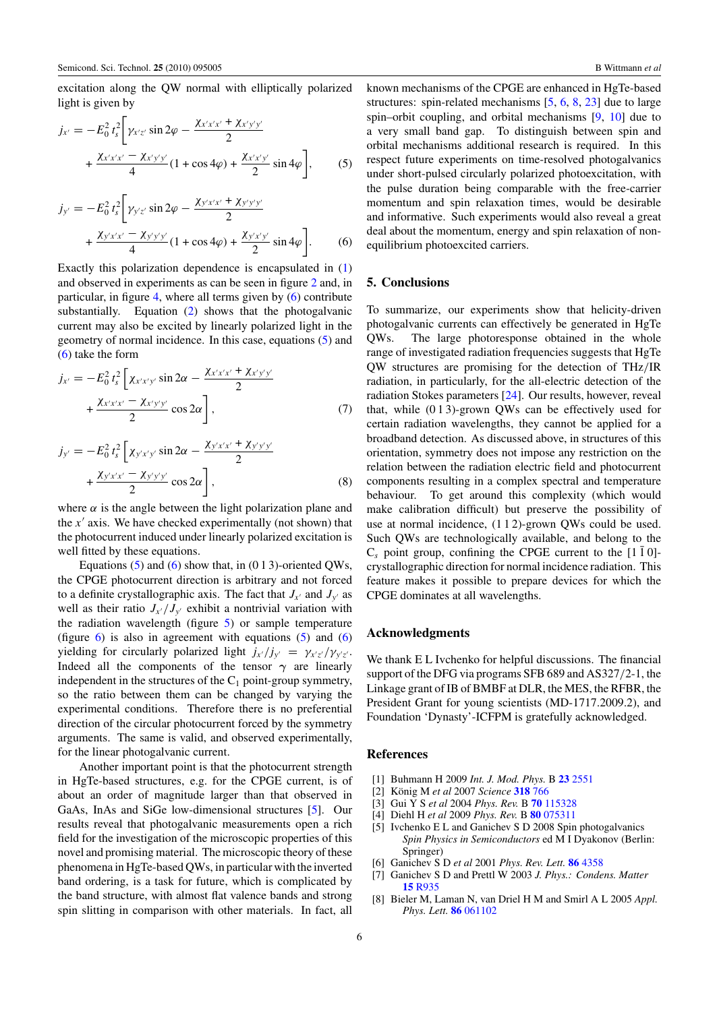<span id="page-6-0"></span>excitation along the QW normal with elliptically polarized light is given by

$$
j_{x'} = -E_0^2 t_s^2 \left[ \gamma_{x'z'} \sin 2\varphi - \frac{\chi_{x'x'x'} + \chi_{x'y'y'}}{2} + \frac{\chi_{x'x'x'} - \chi_{x'y'y'}}{4} (1 + \cos 4\varphi) + \frac{\chi_{x'x'y'}}{2} \sin 4\varphi \right],
$$
 (5)

$$
j_{y'} = -E_0^2 t_s^2 \left[ \gamma_{y'z'} \sin 2\varphi - \frac{\chi_{y'x'x'} + \chi_{y'y'y'}}{2} + \frac{\chi_{y'x'x'} - \chi_{y'y'y'}}{4} (1 + \cos 4\varphi) + \frac{\chi_{y'x'y'}}{2} \sin 4\varphi \right].
$$
 (6)

Exactly this polarization dependence is encapsulated in [\(1\)](#page-4-0) and observed in experiments as can be seen in figure [2](#page-3-0) and, in particular, in figure [4,](#page-4-0) where all terms given by (6) contribute substantially. Equation [\(2\)](#page-5-0) shows that the photogalvanic current may also be excited by linearly polarized light in the geometry of normal incidence. In this case, equations (5) and (6) take the form

$$
j_{x'} = -E_0^2 t_s^2 \left[ \chi_{x'x'y'} \sin 2\alpha - \frac{\chi_{x'x'x'} + \chi_{x'y'y'}}{2} + \frac{\chi_{x'x'x'} - \chi_{x'y'y'}}{2} \cos 2\alpha \right],
$$
 (7)

$$
j_{y'} = -E_0^2 t_s^2 \left[ \chi_{y'x'y'} \sin 2\alpha - \frac{\chi_{y'x'x'} + \chi_{y'y'y'}}{2} + \frac{\chi_{y'x'x'} - \chi_{y'y'y'}}{2} \cos 2\alpha \right],
$$
 (8)

where  $\alpha$  is the angle between the light polarization plane and the  $x'$  axis. We have checked experimentally (not shown) that the photocurrent induced under linearly polarized excitation is well fitted by these equations.

Equations  $(5)$  and  $(6)$  show that, in  $(013)$ -oriented QWs, the CPGE photocurrent direction is arbitrary and not forced to a definite crystallographic axis. The fact that  $J_{x'}$  and  $J_{y'}$  as well as their ratio  $J_{x'}/J_{y'}$  exhibit a nontrivial variation with the radiation wavelength (figure [5\)](#page-4-0) or sample temperature (figure  $\overline{6}$ ) is also in agreement with equations (5) and ([6\)](#page-4-0) yielding for circularly polarized light  $j_{x'}/j_{y'} = \gamma_{x'z'}/\gamma_{y'z'}.$ Indeed all the components of the tensor  $\gamma$  are linearly independent in the structures of the  $C_1$  point-group symmetry, so the ratio between them can be changed by varying the experimental conditions. Therefore there is no preferential direction of the circular photocurrent forced by the symmetry arguments. The same is valid, and observed experimentally, for the linear photogalvanic current.

Another important point is that the photocurrent strength in HgTe-based structures, e.g. for the CPGE current, is of about an order of magnitude larger than that observed in GaAs, InAs and SiGe low-dimensional structures [5]. Our results reveal that photogalvanic measurements open a rich field for the investigation of the microscopic properties of this novel and promising material. The microscopic theory of these phenomena in HgTe-based QWs, in particular with the inverted band ordering, is a task for future, which is complicated by the band structure, with almost flat valence bands and strong spin slitting in comparison with other materials. In fact, all

known mechanisms of the CPGE are enhanced in HgTe-based structures: spin-related mechanisms  $[5, 6, 8, 23]$  $[5, 6, 8, 23]$  due to large spin–orbit coupling, and orbital mechanisms [\[9](#page-7-0), [10](#page-7-0)] due to a very small band gap. To distinguish between spin and orbital mechanisms additional research is required. In this respect future experiments on time-resolved photogalvanics under short-pulsed circularly polarized photoexcitation, with the pulse duration being comparable with the free-carrier momentum and spin relaxation times, would be desirable and informative. Such experiments would also reveal a great deal about the momentum, energy and spin relaxation of nonequilibrium photoexcited carriers.

### **5. Conclusions**

To summarize, our experiments show that helicity-driven photogalvanic currents can effectively be generated in HgTe QWs. The large photoresponse obtained in the whole range of investigated radiation frequencies suggests that HgTe QW structures are promising for the detection of THz*/*IR radiation, in particularly, for the all-electric detection of the radiation Stokes parameters [\[24\]](#page-7-0). Our results, however, reveal that, while (0 1 3)-grown QWs can be effectively used for certain radiation wavelengths, they cannot be applied for a broadband detection. As discussed above, in structures of this orientation, symmetry does not impose any restriction on the relation between the radiation electric field and photocurrent components resulting in a complex spectral and temperature behaviour. To get around this complexity (which would make calibration difficult) but preserve the possibility of use at normal incidence, (1 1 2)-grown QWs could be used. Such QWs are technologically available, and belong to the  $C_s$  point group, confining the CPGE current to the  $[1 \overline{1} 0]$ crystallographic direction for normal incidence radiation. This feature makes it possible to prepare devices for which the CPGE dominates at all wavelengths.

#### **Acknowledgments**

We thank E L Ivchenko for helpful discussions. The financial support of the DFG via programs SFB 689 and AS327*/*2-1, the Linkage grant of IB of BMBF at DLR, the MES, the RFBR, the President Grant for young scientists (MD-1717.2009.2), and Foundation 'Dynasty'-ICFPM is gratefully acknowledged.

## **References**

- [1] Buhmann H 2009 *Int. J. Mod. Phys.* B **23** [2551](http://dx.doi.org/10.1142/S0217979209061974)
- [2] König M et al 2007 Science [318](http://dx.doi.org/10.1126/science.1148047) 766
- [3] Gui Y S *et al* 2004 *Phys. Rev.* B **70** [115328](http://dx.doi.org/10.1103/PhysRevB.70.115328)
- [4] Diehl H *et al* 2009 *Phys. Rev.* B **80** [075311](http://dx.doi.org/10.1103/PhysRevB.80.075311)
- [5] Ivchenko E L and Ganichev S D 2008 Spin photogalvanics *Spin Physics in Semiconductors* ed M I Dyakonov (Berlin: Springer)
- [6] Ganichev S D *et al* 2001 *Phys. Rev. Lett.* **86** [4358](http://dx.doi.org/10.1103/PhysRevLett.86.4358)
- [7] Ganichev S D and Prettl W 2003 *J. Phys.: Condens. Matter* **15** [R935](http://dx.doi.org/10.1088/0953-8984/15/20/204)
- [8] Bieler M, Laman N, van Driel H M and Smirl A L 2005 *Appl. Phys. Lett.* **86** [061102](http://dx.doi.org/10.1063/1.1855426)